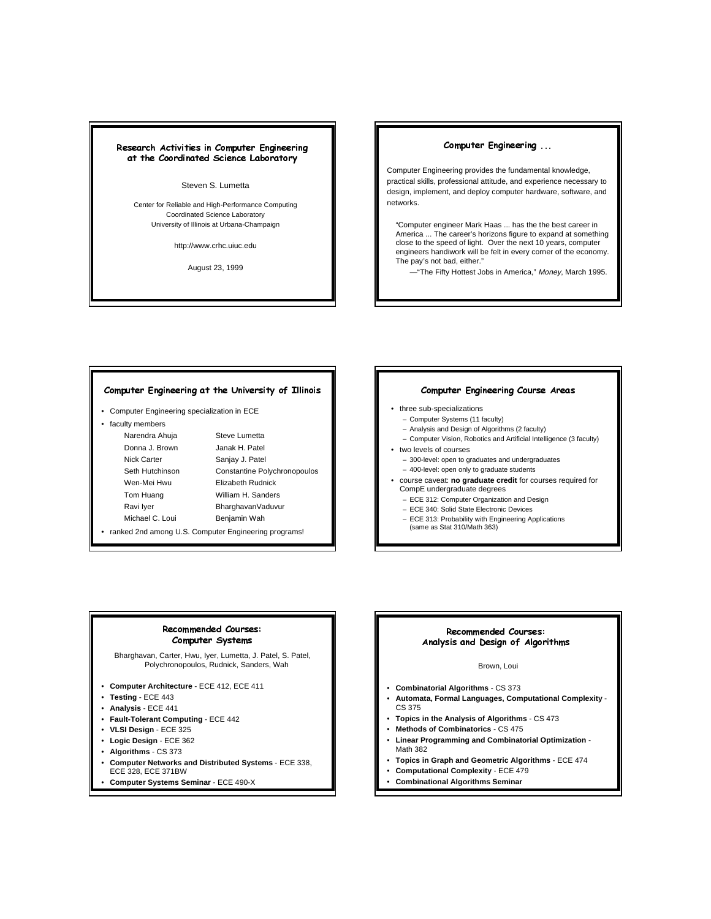# Research Activities in Computer Engineering at the Coordinated Science Laboratory

#### Steven S. Lumetta

Center for Reliable and High-Performance Computing Coordinated Science Laboratory University of Illinois at Urbana-Champaign

http://www.crhc.uiuc.edu

August 23, 1999

#### Computer Engineering ...

Computer Engineering provides the fundamental knowledge, practical skills, professional attitude, and experience necessary to design, implement, and deploy computer hardware, software, and networks.

"Computer engineer Mark Haas ... has the the best career in America ... The career's horizons figure to expand at something close to the speed of light. Over the next 10 years, computer engineers handiwork will be felt in every corner of the economy. The pay's not bad, either."

—"The Fifty Hottest Jobs in America," Money, March 1995.

#### Computer Engineering at the University of Illinois

- Computer Engineering specialization in ECE
- faculty members

Narendra Ahuja Steve Lumetta Donna J. Brown Janak H. Patel Nick Carter Sanjay J. Patel Seth Hutchinson Constantine Polychronopoulos Wen-Mei Hwu **Elizabeth Rudnick** Tom Huang William H. Sanders Ravi Iyer BharghavanVaduvur Michael C. Loui Benjamin Wah

• ranked 2nd among U.S. Computer Engineering programs!

#### Computer Engineering Course Areas

- three sub-specializations
	- Computer Systems (11 faculty)
	- Analysis and Design of Algorithms (2 faculty)
	- Computer Vision, Robotics and Artificial Intelligence (3 faculty)
- two levels of courses
- 300-level: open to graduates and undergraduates
- 400-level: open only to graduate students
- course caveat: **no graduate credit** for courses required for CompE undergraduate degrees
	- ECE 312: Computer Organization and Design
	- ECE 340: Solid State Electronic Devices
	- ECE 313: Probability with Engineering Applications (same as Stat 310/Math 363)

#### Recommended Courses: Computer Systems

Bharghavan, Carter, Hwu, Iyer, Lumetta, J. Patel, S. Patel, Polychronopoulos, Rudnick, Sanders, Wah

- **Computer Architecture**  ECE 412, ECE 411
- **Testing** ECE 443
- **Analysis** ECE 441
- **Fault-Tolerant Computing**  ECE 442
- **VLSI Design**  ECE 325
- **Logic Design**  ECE 362
- **Algorithms** CS 373
- **Computer Networks and Distributed Systems**  ECE 338, ECE 328, ECE 371BW
- **Computer Systems Seminar**  ECE 490-X

# Recommended Courses: Analysis and Design of Algorithms

#### Brown, Loui

- **Combinatorial Algorithms**  CS 373
- **Automata, Formal Languages, Computational Complexity**  CS 375
- **Topics in the Analysis of Algorithms**  CS 473
- **Methods of Combinatorics**  CS 475
- **Linear Programming and Combinatorial Optimization**  Math 382
- **Topics in Graph and Geometric Algorithms**  ECE 474
- **Computational Complexity**  ECE 479
- **Combinational Algorithms Seminar**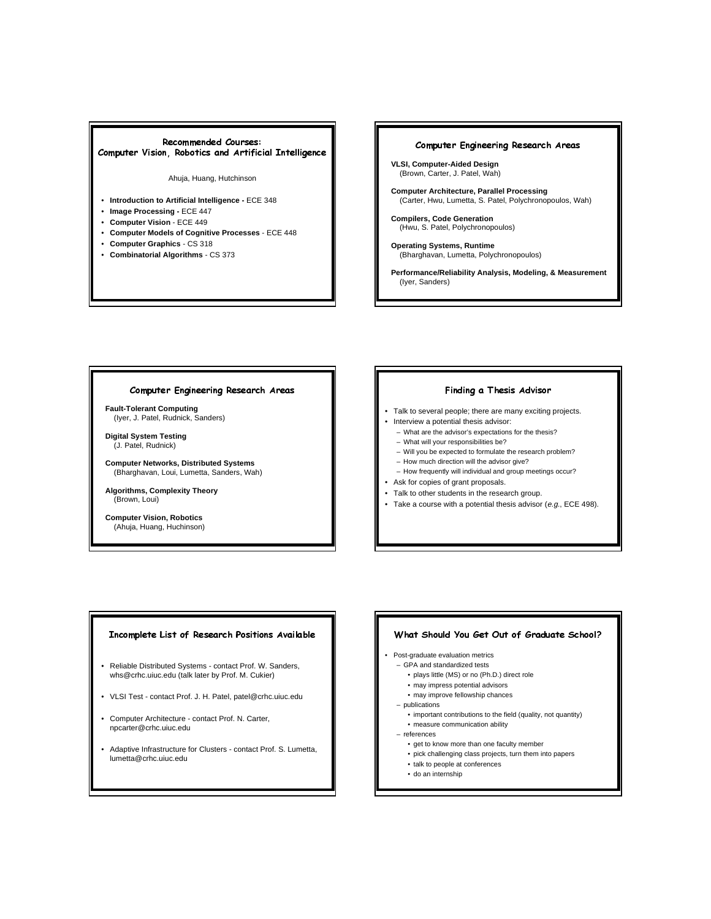# Recommended Courses: Computer Vision, Robotics and Artificial Intelligence

#### Ahuja, Huang, Hutchinson

- **Introduction to Artificial Intelligence** ECE 348
- **Image Processing -** ECE 447
- **Computer Vision**  ECE 449
- **Computer Models of Cognitive Processes**  ECE 448
- **Computer Graphics**  CS 318
- **Combinatorial Algorithms**  CS 373

# Computer Engineering Research Areas

- **VLSI, Computer-Aided Design** (Brown, Carter, J. Patel, Wah)
- **Computer Architecture, Parallel Processing** (Carter, Hwu, Lumetta, S. Patel, Polychronopoulos, Wah)
- **Compilers, Code Generation** (Hwu, S. Patel, Polychronopoulos)
- **Operating Systems, Runtime** (Bharghavan, Lumetta, Polychronopoulos)

**Performance/Reliability Analysis, Modeling, & Measurement** (Iyer, Sanders)

### Computer Engineering Research Areas

**Fault-Tolerant Computing** (Iyer, J. Patel, Rudnick, Sanders)

**Digital System Testing** (J. Patel, Rudnick)

**Computer Networks, Distributed Systems** (Bharghavan, Loui, Lumetta, Sanders, Wah)

**Algorithms, Complexity Theory** (Brown, Loui)

**Computer Vision, Robotics** (Ahuja, Huang, Huchinson)

# Finding a Thesis Advisor

- Talk to several people; there are many exciting projects.
- Interview a potential thesis advisor:
	- What are the advisor's expectations for the thesis?
	- What will your responsibilities be?
	- Will you be expected to formulate the research problem?
	- How much direction will the advisor give?
	- How frequently will individual and group meetings occur?
- Ask for copies of grant proposals.
- Talk to other students in the research group.
- Take a course with a potential thesis advisor  $(e.g., \text{ECE } 498)$ .

#### Incomplete List of Research Positions Available

- Reliable Distributed Systems contact Prof. W. Sanders, whs@crhc.uiuc.edu (talk later by Prof. M. Cukier)
- VLSI Test contact Prof. J. H. Patel, patel@crhc.uiuc.edu
- Computer Architecture contact Prof. N. Carter, npcarter@crhc.uiuc.edu
- Adaptive Infrastructure for Clusters contact Prof. S. Lumetta, lumetta@crhc.uiuc.edu

#### What Should You Get Out of Graduate School?

#### • Post-graduate evaluation metrics

- GPA and standardized tests
	- plays little (MS) or no (Ph.D.) direct role
	- may impress potential advisors
	- may improve fellowship chances
- publications
- important contributions to the field (quality, not quantity) • measure communication ability

references

- get to know more than one faculty member
- pick challenging class projects, turn them into papers
- talk to people at conferences
- do an internship